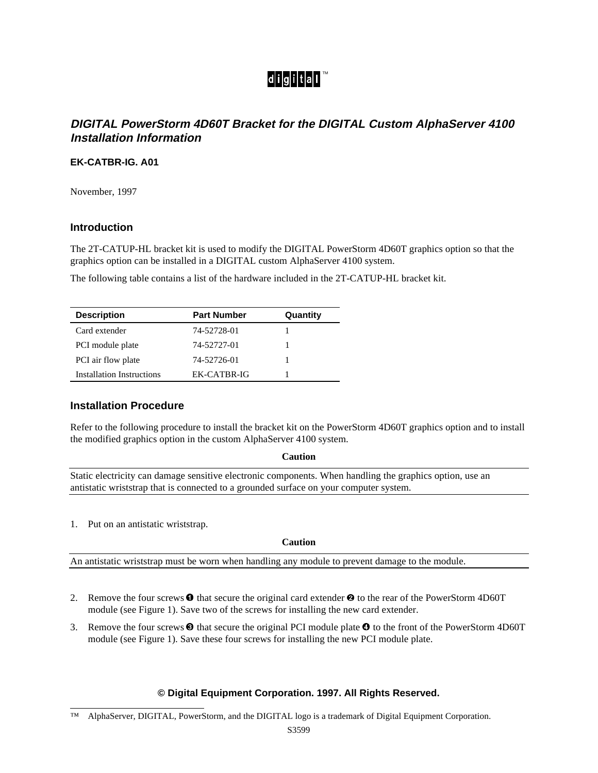# digital<sup>™</sup>

## **DIGITAL PowerStorm 4D60T Bracket for the DIGITAL Custom AlphaServer 4100 Installation Information**

## **EK-CATBR-IG. A01**

November, 1997

## **Introduction**

The 2T-CATUP-HL bracket kit is used to modify the DIGITAL PowerStorm 4D60T graphics option so that the graphics option can be installed in a DIGITAL custom AlphaServer 4100 system.

The following table contains a list of the hardware included in the 2T-CATUP-HL bracket kit.

| <b>Description</b>        | <b>Part Number</b> | Quantity |
|---------------------------|--------------------|----------|
| Card extender             | 74-52728-01        |          |
| PCI module plate          | 74-52727-01        |          |
| PCI air flow plate        | 74-52726-01        |          |
| Installation Instructions | EK-CATBR-IG        |          |

## **Installation Procedure**

Refer to the following procedure to install the bracket kit on the PowerStorm 4D60T graphics option and to install the modified graphics option in the custom AlphaServer 4100 system.

#### **Caution**

Static electricity can damage sensitive electronic components. When handling the graphics option, use an antistatic wriststrap that is connected to a grounded surface on your computer system.

1. Put on an antistatic wriststrap.

## **Caution**

An antistatic wriststrap must be worn when handling any module to prevent damage to the module.

- 2. Remove the four screws  $\bullet$  that secure the original card extender  $\bullet$  to the rear of the PowerStorm 4D60T module (see Figure 1). Save two of the screws for installing the new card extender.
- 3. Remove the four screws  $\odot$  that secure the original PCI module plate  $\odot$  to the front of the PowerStorm 4D60T module (see Figure 1). Save these four screws for installing the new PCI module plate.

## **© Digital Equipment Corporation. 1997. All Rights Reserved.**

<sup>™</sup> AlphaServer, DIGITAL, PowerStorm, and the DIGITAL logo is a trademark of Digital Equipment Corporation.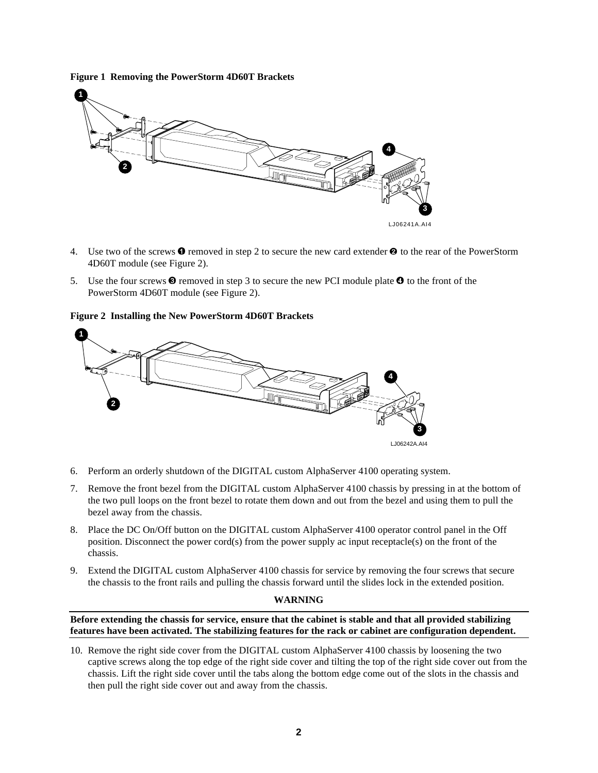**Figure 1 Removing the PowerStorm 4D60T Brackets**



- 4. Use two of the screws  $\bullet$  removed in step 2 to secure the new card extender  $\bullet$  to the rear of the PowerStorm 4D60T module (see Figure 2).
- 5. Use the four screws  $\odot$  removed in step 3 to secure the new PCI module plate  $\odot$  to the front of the PowerStorm 4D60T module (see Figure 2).

#### **Figure 2 Installing the New PowerStorm 4D60T Brackets**



- 6. Perform an orderly shutdown of the DIGITAL custom AlphaServer 4100 operating system.
- 7. Remove the front bezel from the DIGITAL custom AlphaServer 4100 chassis by pressing in at the bottom of the two pull loops on the front bezel to rotate them down and out from the bezel and using them to pull the bezel away from the chassis.
- 8. Place the DC On/Off button on the DIGITAL custom AlphaServer 4100 operator control panel in the Off position. Disconnect the power cord(s) from the power supply ac input receptacle(s) on the front of the chassis.
- 9. Extend the DIGITAL custom AlphaServer 4100 chassis for service by removing the four screws that secure the chassis to the front rails and pulling the chassis forward until the slides lock in the extended position.

#### **WARNING**

**Before extending the chassis for service, ensure that the cabinet is stable and that all provided stabilizing features have been activated. The stabilizing features for the rack or cabinet are configuration dependent.**

10. Remove the right side cover from the DIGITAL custom AlphaServer 4100 chassis by loosening the two captive screws along the top edge of the right side cover and tilting the top of the right side cover out from the chassis. Lift the right side cover until the tabs along the bottom edge come out of the slots in the chassis and then pull the right side cover out and away from the chassis.